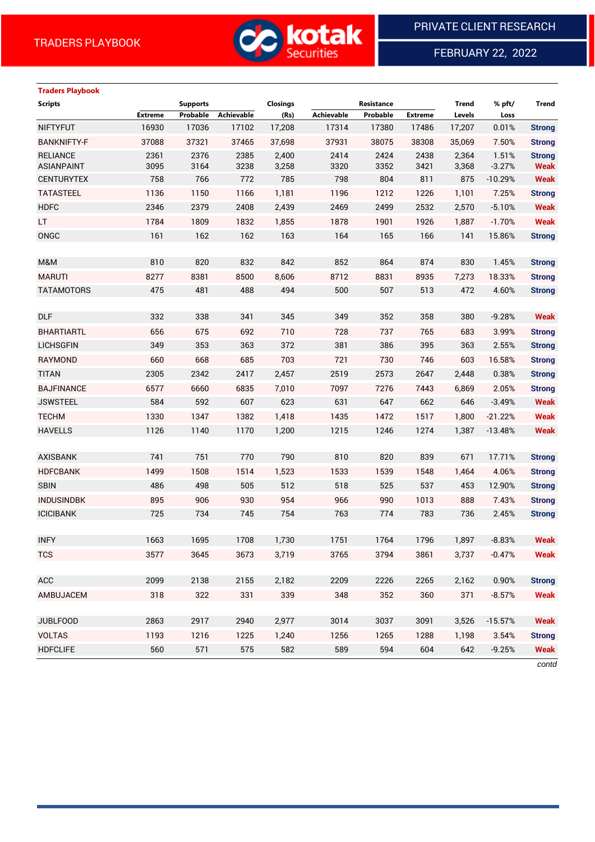

FEBRUARY 22, 2022

# **Traders Playbook**

| <b>Scripts</b>                       |                | <b>Supports</b> |              | <b>Closings</b> |              | Resistance   |                | <b>Trend</b>   | % pft/            | <b>Trend</b>                 |
|--------------------------------------|----------------|-----------------|--------------|-----------------|--------------|--------------|----------------|----------------|-------------------|------------------------------|
|                                      | <b>Extreme</b> | Probable        | Achievable   | (Rs)            | Achievable   | Probable     | <b>Extreme</b> | Levels         | Loss              |                              |
| <b>NIFTYFUT</b>                      | 16930          | 17036           | 17102        | 17,208          | 17314        | 17380        | 17486          | 17,207         | 0.01%             | <b>Strong</b>                |
| <b>BANKNIFTY-F</b>                   | 37088          | 37321           | 37465        | 37,698          | 37931        | 38075        | 38308          | 35,069         | 7.50%             | <b>Strong</b>                |
| <b>RELIANCE</b><br><b>ASIANPAINT</b> | 2361<br>3095   | 2376<br>3164    | 2385<br>3238 | 2,400<br>3,258  | 2414<br>3320 | 2424<br>3352 | 2438<br>3421   | 2,364<br>3,368 | 1.51%<br>$-3.27%$ | <b>Strong</b><br><b>Weak</b> |
| <b>CENTURYTEX</b>                    | 758            | 766             | 772          | 785             | 798          | 804          | 811            | 875            | $-10.29%$         | <b>Weak</b>                  |
| <b>TATASTEEL</b>                     | 1136           | 1150            | 1166         | 1,181           | 1196         | 1212         | 1226           | 1,101          | 7.25%             | <b>Strong</b>                |
| <b>HDFC</b>                          | 2346           | 2379            | 2408         | 2,439           | 2469         | 2499         | 2532           | 2,570          | $-5.10%$          | <b>Weak</b>                  |
| LT                                   | 1784           | 1809            | 1832         | 1,855           | 1878         | 1901         | 1926           | 1,887          | $-1.70%$          | <b>Weak</b>                  |
| ONGC                                 | 161            | 162             | 162          | 163             | 164          | 165          | 166            | 141            | 15.86%            | <b>Strong</b>                |
|                                      |                |                 |              |                 |              |              |                |                |                   |                              |
| M&M                                  | 810            | 820             | 832          | 842             | 852          | 864          | 874            | 830            | 1.45%             | <b>Strong</b>                |
| <b>MARUTI</b>                        | 8277           | 8381            | 8500         | 8,606           | 8712         | 8831         | 8935           | 7,273          | 18.33%            | <b>Strong</b>                |
| <b>TATAMOTORS</b>                    | 475            | 481             | 488          | 494             | 500          | 507          | 513            | 472            | 4.60%             | <b>Strong</b>                |
|                                      |                |                 |              |                 |              |              |                |                |                   |                              |
| <b>DLF</b>                           | 332            | 338             | 341          | 345             | 349          | 352          | 358            | 380            | $-9.28%$          | <b>Weak</b>                  |
| <b>BHARTIARTL</b>                    | 656            | 675             | 692          | 710             | 728          | 737          | 765            | 683            | 3.99%             | <b>Strong</b>                |
| <b>LICHSGFIN</b>                     | 349            | 353             | 363          | 372             | 381          | 386          | 395            | 363            | 2.55%             | <b>Strong</b>                |
| RAYMOND                              | 660            | 668             | 685          | 703             | 721          | 730          | 746            | 603            | 16.58%            | <b>Strong</b>                |
| <b>TITAN</b>                         | 2305           | 2342            | 2417         | 2,457           | 2519         | 2573         | 2647           | 2,448          | 0.38%             | <b>Strong</b>                |
| <b>BAJFINANCE</b>                    | 6577           | 6660            | 6835         | 7,010           | 7097         | 7276         | 7443           | 6,869          | 2.05%             | <b>Strong</b>                |
| <b>JSWSTEEL</b>                      | 584            | 592             | 607          | 623             | 631          | 647          | 662            | 646            | $-3.49%$          | <b>Weak</b>                  |
| <b>TECHM</b>                         | 1330           | 1347            | 1382         | 1,418           | 1435         | 1472         | 1517           | 1,800          | $-21.22%$         | <b>Weak</b>                  |
| <b>HAVELLS</b>                       | 1126           | 1140            | 1170         | 1,200           | 1215         | 1246         | 1274           | 1,387          | $-13.48%$         | <b>Weak</b>                  |
|                                      |                |                 |              |                 |              |              |                |                |                   |                              |
| <b>AXISBANK</b>                      | 741            | 751             | 770          | 790             | 810          | 820          | 839            | 671            | 17.71%            | <b>Strong</b>                |
| <b>HDFCBANK</b>                      | 1499           | 1508            | 1514         | 1,523           | 1533         | 1539         | 1548           | 1,464          | 4.06%             | <b>Strong</b>                |
| <b>SBIN</b>                          | 486            | 498             | 505          | 512             | 518          | 525          | 537            | 453            | 12.90%            | <b>Strong</b>                |
| <b>INDUSINDBK</b>                    | 895            | 906             | 930          | 954             | 966          | 990          | 1013           | 888            | 7.43%             | <b>Strong</b>                |
| <b>ICICIBANK</b>                     | 725            | 734             | 745          | 754             | 763          | 774          | 783            | 736            | 2.45%             | <b>Strong</b>                |
|                                      |                |                 |              |                 |              |              |                |                |                   |                              |
| <b>INFY</b>                          | 1663           | 1695            | 1708         | 1,730           | 1751         | 1764         | 1796           | 1,897          | $-8.83%$          | <b>Weak</b>                  |
| <b>TCS</b>                           | 3577           | 3645            | 3673         | 3,719           | 3765         | 3794         | 3861           | 3,737          | $-0.47%$          | <b>Weak</b>                  |
|                                      |                |                 |              |                 |              |              |                |                |                   |                              |
| ACC                                  | 2099           | 2138            | 2155         | 2,182           | 2209         | 2226         | 2265           | 2,162          | 0.90%             | <b>Strong</b>                |
| AMBUJACEM                            | 318            | 322             | 331          | 339             | 348          | 352          | 360            | 371            | $-8.57%$          | <b>Weak</b>                  |
|                                      |                |                 |              |                 |              |              |                |                |                   |                              |
| <b>JUBLFOOD</b>                      | 2863           | 2917            | 2940         | 2,977           | 3014         | 3037         | 3091           | 3,526          | $-15.57%$         | <b>Weak</b>                  |
| <b>VOLTAS</b>                        | 1193           | 1216            | 1225         | 1,240           | 1256         | 1265         | 1288           | 1,198          | 3.54%             | <b>Strong</b>                |
| <b>HDFCLIFE</b>                      | 560            | 571             | 575          | 582             | 589          | 594          | 604            | 642            | $-9.25%$          | <b>Weak</b>                  |

*contd*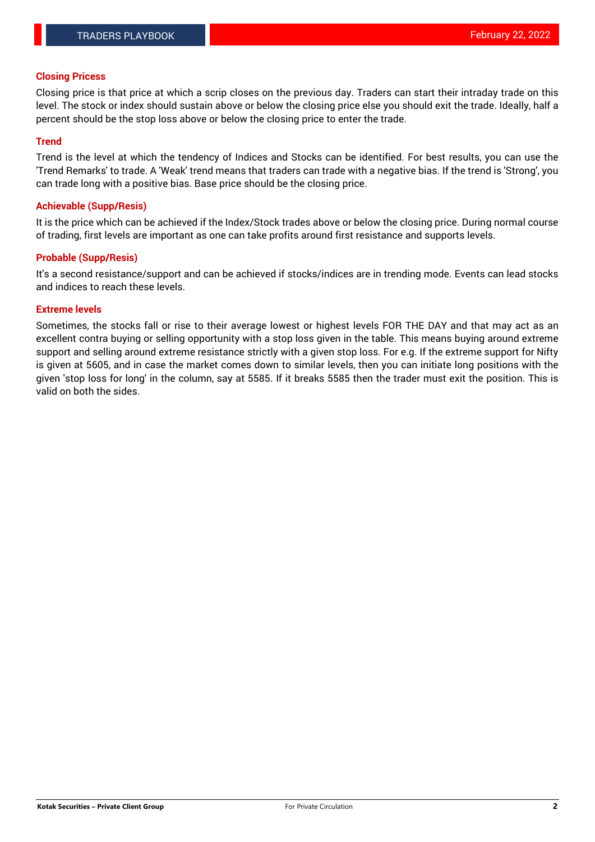### **Closing Pricess**

Closing price is that price at which a scrip closes on the previous day. Traders can start their intraday trade on this level. The stock or index should sustain above or below the closing price else you should exit the trade. Ideally, half a percent should be the stop loss above or below the closing price to enter the trade.

## **Trend**

Trend is the level at which the tendency of Indices and Stocks can be identified. For best results, you can use the 'Trend Remarks' to trade. A 'Weak' trend means that traders can trade with a negative bias. If the trend is 'Strong', you can trade long with a positive bias. Base price should be the closing price.

#### **Achievable (Supp/Resis)**

It is the price which can be achieved if the Index/Stock trades above or below the closing price. During normal course of trading, first levels are important as one can take profits around first resistance and supports levels.

## **Probable (Supp/Resis)**

It's a second resistance/support and can be achieved if stocks/indices are in trending mode. Events can lead stocks and indices to reach these levels.

#### **Extreme levels**

Sometimes, the stocks fall or rise to their average lowest or highest levels FOR THE DAY and that may act as an excellent contra buying or selling opportunity with a stop loss given in the table. This means buying around extreme support and selling around extreme resistance strictly with a given stop loss. For e.g. If the extreme support for Nifty is given at 5605, and in case the market comes down to similar levels, then you can initiate long positions with the given 'stop loss for long' in the column, say at 5585. If it breaks 5585 then the trader must exit the position. This is valid on both the sides.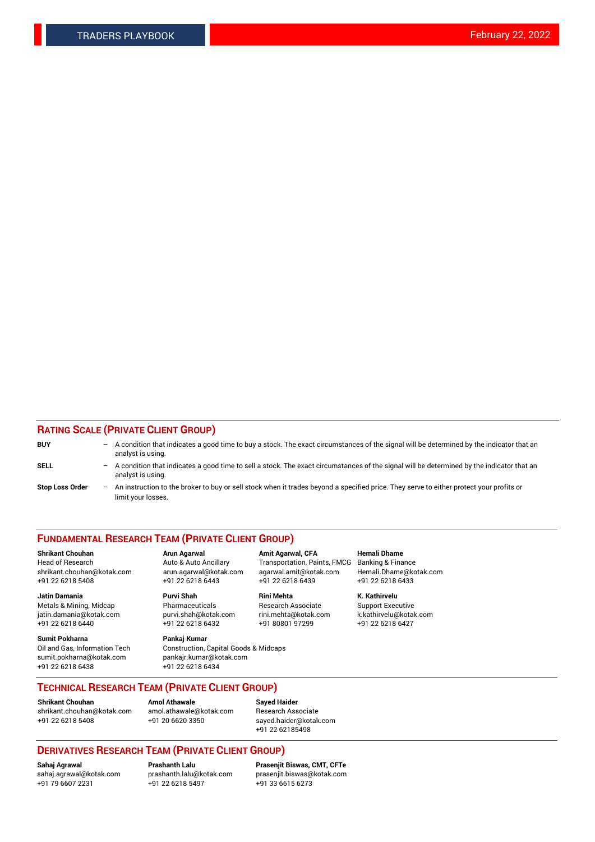## **RATING SCALE (PRIVATE CLIENT GROUP)**

| <b>BUY</b>             | $-$ | A condition that indicates a good time to buy a stock. The exact circumstances of the signal will be determined by the indicator that an<br>analyst is using.  |
|------------------------|-----|----------------------------------------------------------------------------------------------------------------------------------------------------------------|
| <b>SELL</b>            | $-$ | A condition that indicates a good time to sell a stock. The exact circumstances of the signal will be determined by the indicator that an<br>analyst is using. |
| <b>Stop Loss Order</b> | $-$ | An instruction to the broker to buy or sell stock when it trades beyond a specified price. They serve to either protect your profits or<br>limit your losses.  |

#### **FUNDAMENTAL RESEARCH TEAM (PRIVATE CLIENT GROUP)**

**Jatin Damania Purvi Shah Rini Mehta K. Kathirvelu** Metals & Mining, Midcap **Pharmaceuticals** Research Associate Support Executive jatin.damania@kotak.com [purvi.shah@kotak.com](mailto:purvi.shah@kotak.com) rini.mehta@kotak.com [k.kathirvelu@kotak.com](mailto:k.kathirvelu@kotak.com)  $+91$  22 6218 6440  $+91$  22 6218 6432

**Sumit Pokharna Pankaj Kumar** sumit.pokharna@kotak.com pankajr.kumar@kotak.com +91 22 6218 6438 +91 22 6218 6434

**Shrikant Chouhan Arun Agarwal Amit Agarwal, CFA Hemali Dhame**

Oil and Gas, Information Tech Construction, Capital Goods & Midcaps

Head of Research Auto & Auto Ancillary Transportation, Paints, FMCG Banking & Finance shrikant.chouhan@kotak.com arun.agarwal@kotak.com agarwal.amit@kotak.com Hemali.Dhame@kotak.com +91 22 6218 5408 +91 22 6218 6443 +91 22 6218 6439 +91 22 6218 6433

**TECHNICAL RESEARCH TEAM (PRIVATE CLIENT GROUP)**

[shrikant.chouhan@kotak.com](mailto:shrikant.chouhan@kotak.com) [amol.athawale@kotak.com](mailto:amol.athawale@kotak.com) Research Associate +91 22 6218 5408 +91 20 6620 3350 [sayed.haider@kotak.com](mailto:sayed.haider@kotak.com)

**Shrikant Chouhan Amol Athawale Sayed Haider**

+91 22 62185498

# **DERIVATIVES RESEARCH TEAM (PRIVATE CLIENT GROUP)**

 $+91$  22 6218 5497

**Sahaj Agrawal Prashanth Lalu Prasenjit Biswas, CMT, CFTe** [sahaj.agrawal@kotak.com](mailto:sahaj.agrawal@kotak.com) [prashanth.lalu@kotak.com](mailto:prashanth.lalu@kotak.com) [prasenjit.biswas@kotak.com](mailto:prasenjit.biswas@kotak.com)